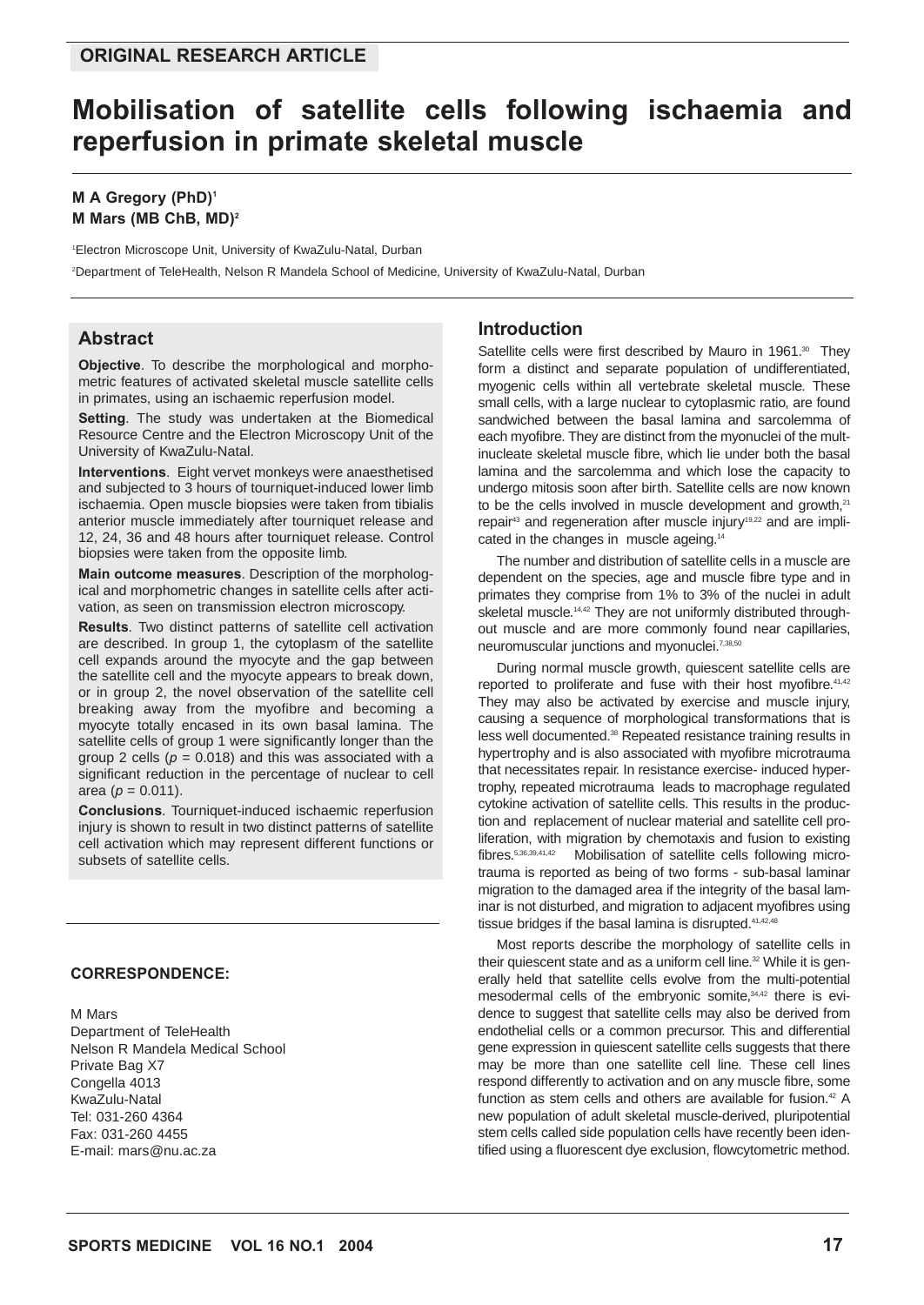# **Mobilisation of satellite cells following ischaemia and reperfusion in primate skeletal muscle**

#### **M A Gregory (PhD)1 M Mars (MB ChB, MD)2**

1 Electron Microscope Unit, University of KwaZulu-Natal, Durban 2 Department of TeleHealth, Nelson R Mandela School of Medicine, University of KwaZulu-Natal, Durban

### **Abstract**

**Objective**. To describe the morphological and morphometric features of activated skeletal muscle satellite cells in primates, using an ischaemic reperfusion model.

**Setting**. The study was undertaken at the Biomedical Resource Centre and the Electron Microscopy Unit of the University of KwaZulu-Natal.

**Interventions**. Eight vervet monkeys were anaesthetised and subjected to 3 hours of tourniquet-induced lower limb ischaemia. Open muscle biopsies were taken from tibialis anterior muscle immediately after tourniquet release and 12, 24, 36 and 48 hours after tourniquet release. Control biopsies were taken from the opposite limb.

**Main outcome measures**. Description of the morphological and morphometric changes in satellite cells after activation, as seen on transmission electron microscopy.

**Results**. Two distinct patterns of satellite cell activation are described. In group 1, the cytoplasm of the satellite cell expands around the myocyte and the gap between the satellite cell and the myocyte appears to break down, or in group 2, the novel observation of the satellite cell breaking away from the myofibre and becoming a myocyte totally encased in its own basal lamina. The satellite cells of group 1 were significantly longer than the group 2 cells  $(p = 0.018)$  and this was associated with a significant reduction in the percentage of nuclear to cell area ( $p = 0.011$ ).

**Conclusions**. Tourniquet-induced ischaemic reperfusion injury is shown to result in two distinct patterns of satellite cell activation which may represent different functions or subsets of satellite cells.

#### **CORRESPONDENCE:**

M Mars Department of TeleHealth Nelson R Mandela Medical School Private Bag X7 Congella 4013 KwaZulu-Natal Tel: 031-260 4364 Fax: 031-260 4455 E-mail: mars@nu.ac.za

#### **Introduction**

Satellite cells were first described by Mauro in 1961.<sup>30</sup> They form a distinct and separate population of undifferentiated, myogenic cells within all vertebrate skeletal muscle. These small cells, with a large nuclear to cytoplasmic ratio, are found sandwiched between the basal lamina and sarcolemma of each myofibre. They are distinct from the myonuclei of the multinucleate skeletal muscle fibre, which lie under both the basal lamina and the sarcolemma and which lose the capacity to undergo mitosis soon after birth. Satellite cells are now known to be the cells involved in muscle development and growth,<sup>21</sup> repair<sup>43</sup> and regeneration after muscle injury<sup>19,22</sup> and are implicated in the changes in muscle ageing.14

The number and distribution of satellite cells in a muscle are dependent on the species, age and muscle fibre type and in primates they comprise from 1% to 3% of the nuclei in adult skeletal muscle.<sup>14,42</sup> They are not uniformly distributed throughout muscle and are more commonly found near capillaries, neuromuscular junctions and myonuclei.<sup>7,38,50</sup>

During normal muscle growth, quiescent satellite cells are reported to proliferate and fuse with their host myofibre.<sup>41,42</sup> They may also be activated by exercise and muscle injury, causing a sequence of morphological transformations that is less well documented.38 Repeated resistance training results in hypertrophy and is also associated with myofibre microtrauma that necessitates repair. In resistance exercise- induced hypertrophy, repeated microtrauma leads to macrophage regulated cytokine activation of satellite cells. This results in the production and replacement of nuclear material and satellite cell proliferation, with migration by chemotaxis and fusion to existing fibres.<sup>5,36,39,41,42</sup> Mobilisation of satellite cells following microtrauma is reported as being of two forms - sub-basal laminar migration to the damaged area if the integrity of the basal laminar is not disturbed, and migration to adjacent myofibres using tissue bridges if the basal lamina is disrupted. $41,42,48$ 

Most reports describe the morphology of satellite cells in their quiescent state and as a uniform cell line.<sup>32</sup> While it is generally held that satellite cells evolve from the multi-potential mesodermal cells of the embryonic somite,<sup>34,42</sup> there is evidence to suggest that satellite cells may also be derived from endothelial cells or a common precursor. This and differential gene expression in quiescent satellite cells suggests that there may be more than one satellite cell line. These cell lines respond differently to activation and on any muscle fibre, some function as stem cells and others are available for fusion.<sup>42</sup> A new population of adult skeletal muscle-derived, pluripotential stem cells called side population cells have recently been identified using a fluorescent dye exclusion, flowcytometric method.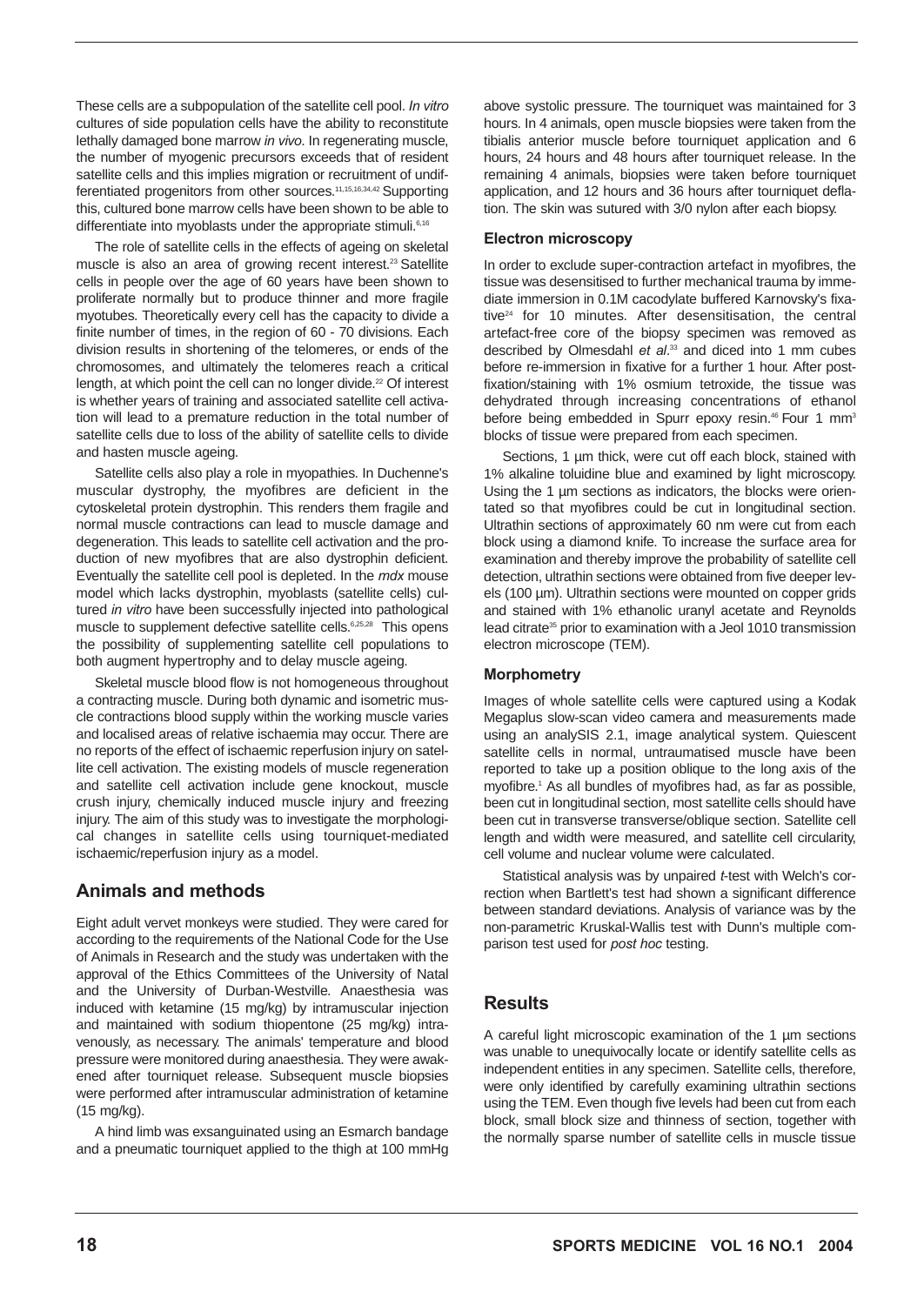These cells are a subpopulation of the satellite cell pool. *In vitro* cultures of side population cells have the ability to reconstitute lethally damaged bone marrow *in vivo*. In regenerating muscle, the number of myogenic precursors exceeds that of resident satellite cells and this implies migration or recruitment of undifferentiated progenitors from other sources.11,15,16,34,42 Supporting this, cultured bone marrow cells have been shown to be able to differentiate into myoblasts under the appropriate stimuli.<sup>6,16</sup>

The role of satellite cells in the effects of ageing on skeletal muscle is also an area of growing recent interest.<sup>23</sup> Satellite cells in people over the age of 60 years have been shown to proliferate normally but to produce thinner and more fragile myotubes. Theoretically every cell has the capacity to divide a finite number of times, in the region of 60 - 70 divisions. Each division results in shortening of the telomeres, or ends of the chromosomes, and ultimately the telomeres reach a critical length, at which point the cell can no longer divide.<sup>22</sup> Of interest is whether years of training and associated satellite cell activation will lead to a premature reduction in the total number of satellite cells due to loss of the ability of satellite cells to divide and hasten muscle ageing.

Satellite cells also play a role in myopathies. In Duchenne's muscular dystrophy, the myofibres are deficient in the cytoskeletal protein dystrophin. This renders them fragile and normal muscle contractions can lead to muscle damage and degeneration. This leads to satellite cell activation and the production of new myofibres that are also dystrophin deficient. Eventually the satellite cell pool is depleted. In the *mdx* mouse model which lacks dystrophin, myoblasts (satellite cells) cultured *in vitro* have been successfully injected into pathological muscle to supplement defective satellite cells.6,25,28 This opens the possibility of supplementing satellite cell populations to both augment hypertrophy and to delay muscle ageing.

Skeletal muscle blood flow is not homogeneous throughout a contracting muscle. During both dynamic and isometric muscle contractions blood supply within the working muscle varies and localised areas of relative ischaemia may occur. There are no reports of the effect of ischaemic reperfusion injury on satellite cell activation. The existing models of muscle regeneration and satellite cell activation include gene knockout, muscle crush injury, chemically induced muscle injury and freezing injury. The aim of this study was to investigate the morphological changes in satellite cells using tourniquet-mediated ischaemic/reperfusion injury as a model.

# **Animals and methods**

Eight adult vervet monkeys were studied. They were cared for according to the requirements of the National Code for the Use of Animals in Research and the study was undertaken with the approval of the Ethics Committees of the University of Natal and the University of Durban-Westville. Anaesthesia was induced with ketamine (15 mg/kg) by intramuscular injection and maintained with sodium thiopentone (25 mg/kg) intravenously, as necessary. The animals' temperature and blood pressure were monitored during anaesthesia. They were awakened after tourniquet release. Subsequent muscle biopsies were performed after intramuscular administration of ketamine (15 mg/kg).

A hind limb was exsanguinated using an Esmarch bandage and a pneumatic tourniquet applied to the thigh at 100 mmHg above systolic pressure. The tourniquet was maintained for 3 hours. In 4 animals, open muscle biopsies were taken from the tibialis anterior muscle before tourniquet application and 6 hours, 24 hours and 48 hours after tourniquet release. In the remaining 4 animals, biopsies were taken before tourniquet application, and 12 hours and 36 hours after tourniquet deflation. The skin was sutured with 3/0 nylon after each biopsy.

#### **Electron microscopy**

In order to exclude super-contraction artefact in myofibres, the tissue was desensitised to further mechanical trauma by immediate immersion in 0.1M cacodylate buffered Karnovsky's fixative $24$  for 10 minutes. After desensitisation, the central artefact-free core of the biopsy specimen was removed as described by Olmesdahl *et al*. <sup>33</sup> and diced into 1 mm cubes before re-immersion in fixative for a further 1 hour. After postfixation/staining with 1% osmium tetroxide, the tissue was dehydrated through increasing concentrations of ethanol before being embedded in Spurr epoxy resin.<sup>46</sup> Four 1 mm<sup>3</sup> blocks of tissue were prepared from each specimen.

Sections, 1 um thick, were cut off each block, stained with 1% alkaline toluidine blue and examined by light microscopy. Using the 1 µm sections as indicators, the blocks were orientated so that myofibres could be cut in longitudinal section. Ultrathin sections of approximately 60 nm were cut from each block using a diamond knife. To increase the surface area for examination and thereby improve the probability of satellite cell detection, ultrathin sections were obtained from five deeper levels (100 µm). Ultrathin sections were mounted on copper grids and stained with 1% ethanolic uranyl acetate and Reynolds lead citrate<sup>35</sup> prior to examination with a Jeol 1010 transmission electron microscope (TEM).

### **Morphometry**

Images of whole satellite cells were captured using a Kodak Megaplus slow-scan video camera and measurements made using an analySIS 2.1, image analytical system. Quiescent satellite cells in normal, untraumatised muscle have been reported to take up a position oblique to the long axis of the myofibre.1 As all bundles of myofibres had, as far as possible, been cut in longitudinal section, most satellite cells should have been cut in transverse transverse/oblique section. Satellite cell length and width were measured, and satellite cell circularity, cell volume and nuclear volume were calculated.

Statistical analysis was by unpaired *t*-test with Welch's correction when Bartlett's test had shown a significant difference between standard deviations. Analysis of variance was by the non-parametric Kruskal-Wallis test with Dunn's multiple comparison test used for *post hoc* testing.

# **Results**

A careful light microscopic examination of the 1 µm sections was unable to unequivocally locate or identify satellite cells as independent entities in any specimen. Satellite cells, therefore, were only identified by carefully examining ultrathin sections using the TEM. Even though five levels had been cut from each block, small block size and thinness of section, together with the normally sparse number of satellite cells in muscle tissue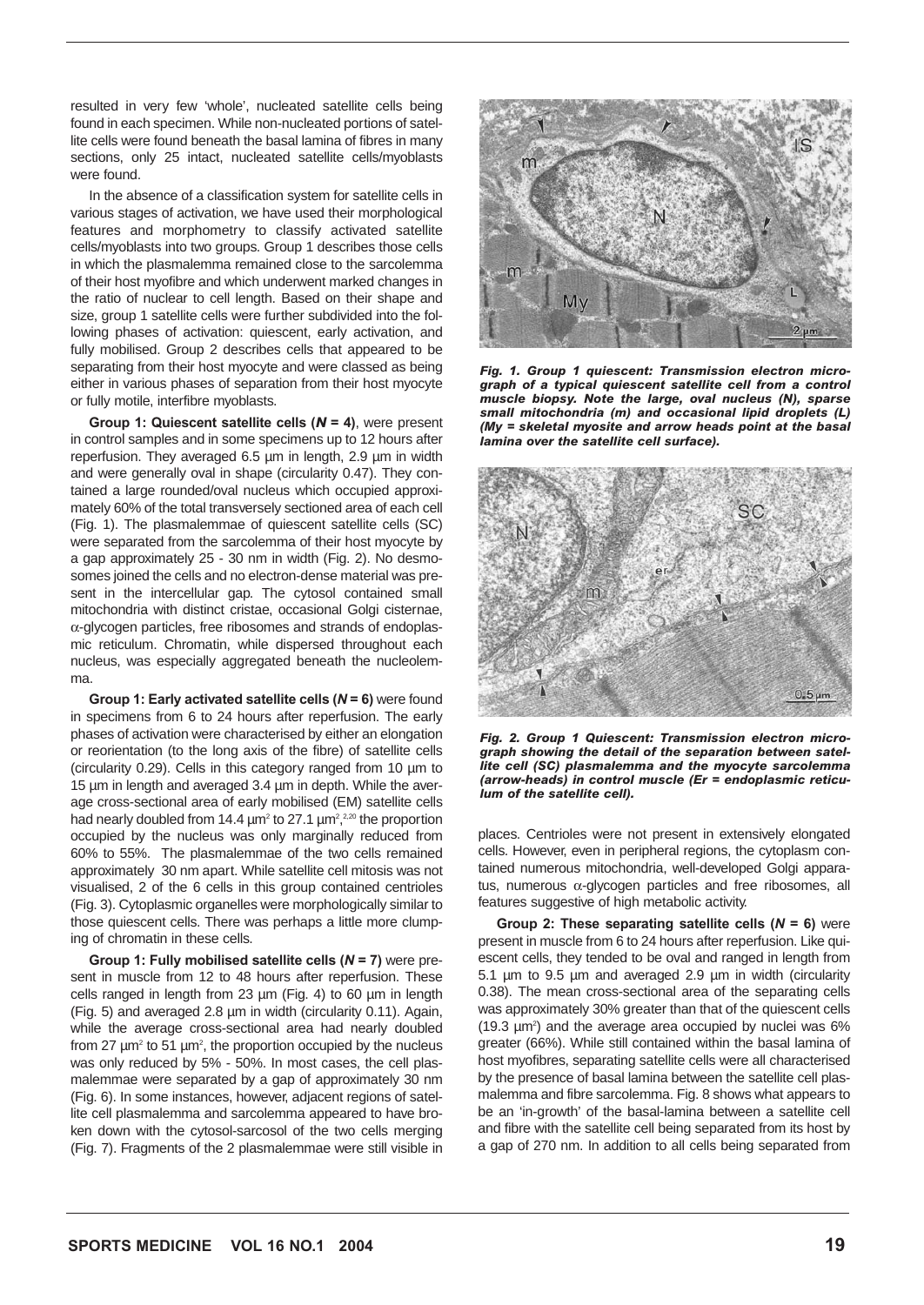resulted in very few 'whole', nucleated satellite cells being found in each specimen. While non-nucleated portions of satellite cells were found beneath the basal lamina of fibres in many sections, only 25 intact, nucleated satellite cells/myoblasts were found.

In the absence of a classification system for satellite cells in various stages of activation, we have used their morphological features and morphometry to classify activated satellite cells/myoblasts into two groups. Group 1 describes those cells in which the plasmalemma remained close to the sarcolemma of their host myofibre and which underwent marked changes in the ratio of nuclear to cell length. Based on their shape and size, group 1 satellite cells were further subdivided into the following phases of activation: quiescent, early activation, and fully mobilised. Group 2 describes cells that appeared to be separating from their host myocyte and were classed as being either in various phases of separation from their host myocyte or fully motile, interfibre myoblasts.

**Group 1: Quiescent satellite cells (***N* **= 4)**, were present in control samples and in some specimens up to 12 hours after reperfusion. They averaged 6.5 µm in length, 2.9 µm in width and were generally oval in shape (circularity 0.47). They contained a large rounded/oval nucleus which occupied approximately 60% of the total transversely sectioned area of each cell (Fig. 1). The plasmalemmae of quiescent satellite cells (SC) were separated from the sarcolemma of their host myocyte by a gap approximately 25 - 30 nm in width (Fig. 2). No desmosomes joined the cells and no electron-dense material was present in the intercellular gap. The cytosol contained small mitochondria with distinct cristae, occasional Golgi cisternae, α-glycogen particles, free ribosomes and strands of endoplasmic reticulum. Chromatin, while dispersed throughout each nucleus, was especially aggregated beneath the nucleolemma.

**Group 1: Early activated satellite cells (***N* **= 6)** were found in specimens from 6 to 24 hours after reperfusion. The early phases of activation were characterised by either an elongation or reorientation (to the long axis of the fibre) of satellite cells (circularity 0.29). Cells in this category ranged from 10 µm to 15 µm in length and averaged 3.4 µm in depth. While the average cross-sectional area of early mobilised (EM) satellite cells had nearly doubled from 14.4  $\mu$ m<sup>2</sup> to 27.1  $\mu$ m<sup>2</sup>,<sup>2,20</sup> the proportion occupied by the nucleus was only marginally reduced from 60% to 55%. The plasmalemmae of the two cells remained approximately 30 nm apart. While satellite cell mitosis was not visualised, 2 of the 6 cells in this group contained centrioles (Fig. 3). Cytoplasmic organelles were morphologically similar to those quiescent cells. There was perhaps a little more clumping of chromatin in these cells.

**Group 1: Fully mobilised satellite cells (***N* **= 7)** were present in muscle from 12 to 48 hours after reperfusion. These cells ranged in length from 23 µm (Fig. 4) to 60 µm in length (Fig. 5) and averaged 2.8 µm in width (circularity 0.11). Again, while the average cross-sectional area had nearly doubled from 27  $\mu$ m<sup>2</sup> to 51  $\mu$ m<sup>2</sup>, the proportion occupied by the nucleus was only reduced by 5% - 50%. In most cases, the cell plasmalemmae were separated by a gap of approximately 30 nm (Fig. 6). In some instances, however, adjacent regions of satellite cell plasmalemma and sarcolemma appeared to have broken down with the cytosol-sarcosol of the two cells merging (Fig. 7). Fragments of the 2 plasmalemmae were still visible in



*Fig. 1. Group 1 quiescent: Transmission electron micrograph of a typical quiescent satellite cell from a control muscle biopsy. Note the large, oval nucleus (N), sparse small mitochondria (m) and occasional lipid droplets (L) (My = skeletal myosite and arrow heads point at the basal lamina over the satellite cell surface).*



*Fig. 2. Group 1 Quiescent: Transmission electron micrograph showing the detail of the separation between satellite cell (SC) plasmalemma and the myocyte sarcolemma (arrow-heads) in control muscle (Er = endoplasmic reticulum of the satellite cell).*

places. Centrioles were not present in extensively elongated cells. However, even in peripheral regions, the cytoplasm contained numerous mitochondria, well-developed Golgi apparatus, numerous  $\alpha$ -glycogen particles and free ribosomes, all features suggestive of high metabolic activity.

**Group 2: These separating satellite cells (***N* **= 6)** were present in muscle from 6 to 24 hours after reperfusion. Like quiescent cells, they tended to be oval and ranged in length from 5.1 µm to 9.5 µm and averaged 2.9 µm in width (circularity 0.38). The mean cross-sectional area of the separating cells was approximately 30% greater than that of the quiescent cells  $(19.3 \mu m^2)$  and the average area occupied by nuclei was 6% greater (66%). While still contained within the basal lamina of host myofibres, separating satellite cells were all characterised by the presence of basal lamina between the satellite cell plasmalemma and fibre sarcolemma. Fig. 8 shows what appears to be an 'in-growth' of the basal-lamina between a satellite cell and fibre with the satellite cell being separated from its host by a gap of 270 nm. In addition to all cells being separated from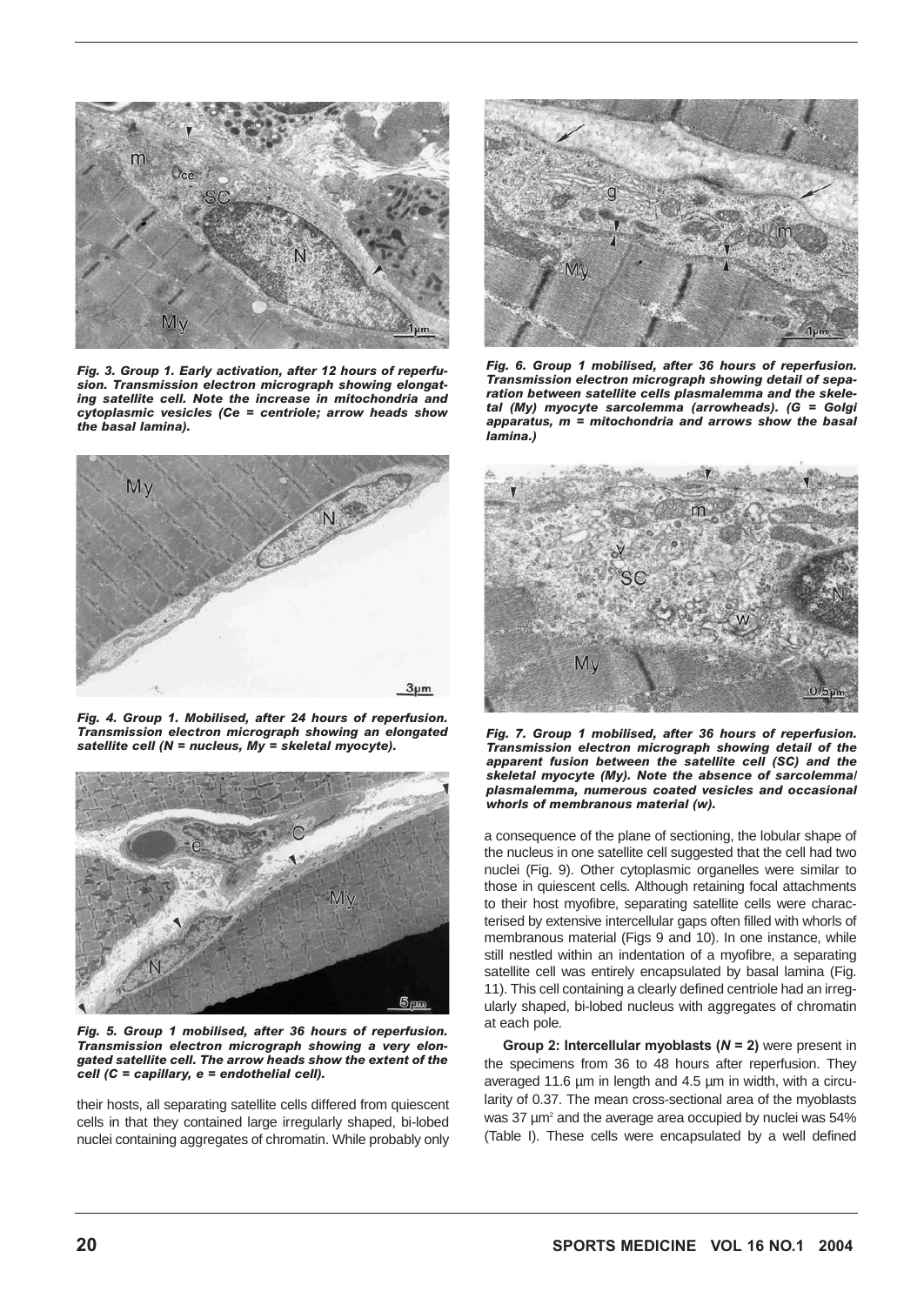

*Fig. 3. Group 1. Early activation, after 12 hours of reperfusion. Transmission electron micrograph showing elongating satellite cell. Note the increase in mitochondria and cytoplasmic vesicles (Ce = centriole; arrow heads show the basal lamina).*



*Fig. 4. Group 1. Mobilised, after 24 hours of reperfusion. Transmission electron micrograph showing an elongated satellite cell (N = nucleus, My = skeletal myocyte).*



*Fig. 5. Group 1 mobilised, after 36 hours of reperfusion. Transmission electron micrograph showing a very elongated satellite cell. The arrow heads show the extent of the cell (C = capillary, e = endothelial cell).*

their hosts, all separating satellite cells differed from quiescent cells in that they contained large irregularly shaped, bi-lobed nuclei containing aggregates of chromatin. While probably only



*Fig. 6. Group 1 mobilised, after 36 hours of reperfusion. Transmission electron micrograph showing detail of separation between satellite cells plasmalemma and the skeletal (My) myocyte sarcolemma (arrowheads). (G = Golgi apparatus, m = mitochondria and arrows show the basal lamina.)*



*Fig. 7. Group 1 mobilised, after 36 hours of reperfusion. Transmission electron micrograph showing detail of the apparent fusion between the satellite cell (SC) and the skeletal myocyte (My). Note the absence of sarcolemma/ plasmalemma, numerous coated vesicles and occasional whorls of membranous material (w).*

a consequence of the plane of sectioning, the lobular shape of the nucleus in one satellite cell suggested that the cell had two nuclei (Fig. 9). Other cytoplasmic organelles were similar to those in quiescent cells. Although retaining focal attachments to their host myofibre, separating satellite cells were characterised by extensive intercellular gaps often filled with whorls of membranous material (Figs 9 and 10). In one instance, while still nestled within an indentation of a myofibre, a separating satellite cell was entirely encapsulated by basal lamina (Fig. 11). This cell containing a clearly defined centriole had an irregularly shaped, bi-lobed nucleus with aggregates of chromatin at each pole.

**Group 2: Intercellular myoblasts (***N* **= 2)** were present in the specimens from 36 to 48 hours after reperfusion. They averaged 11.6 µm in length and 4.5 µm in width, with a circularity of 0.37. The mean cross-sectional area of the myoblasts was 37  $\mu$ m<sup>2</sup> and the average area occupied by nuclei was 54% (Table I). These cells were encapsulated by a well defined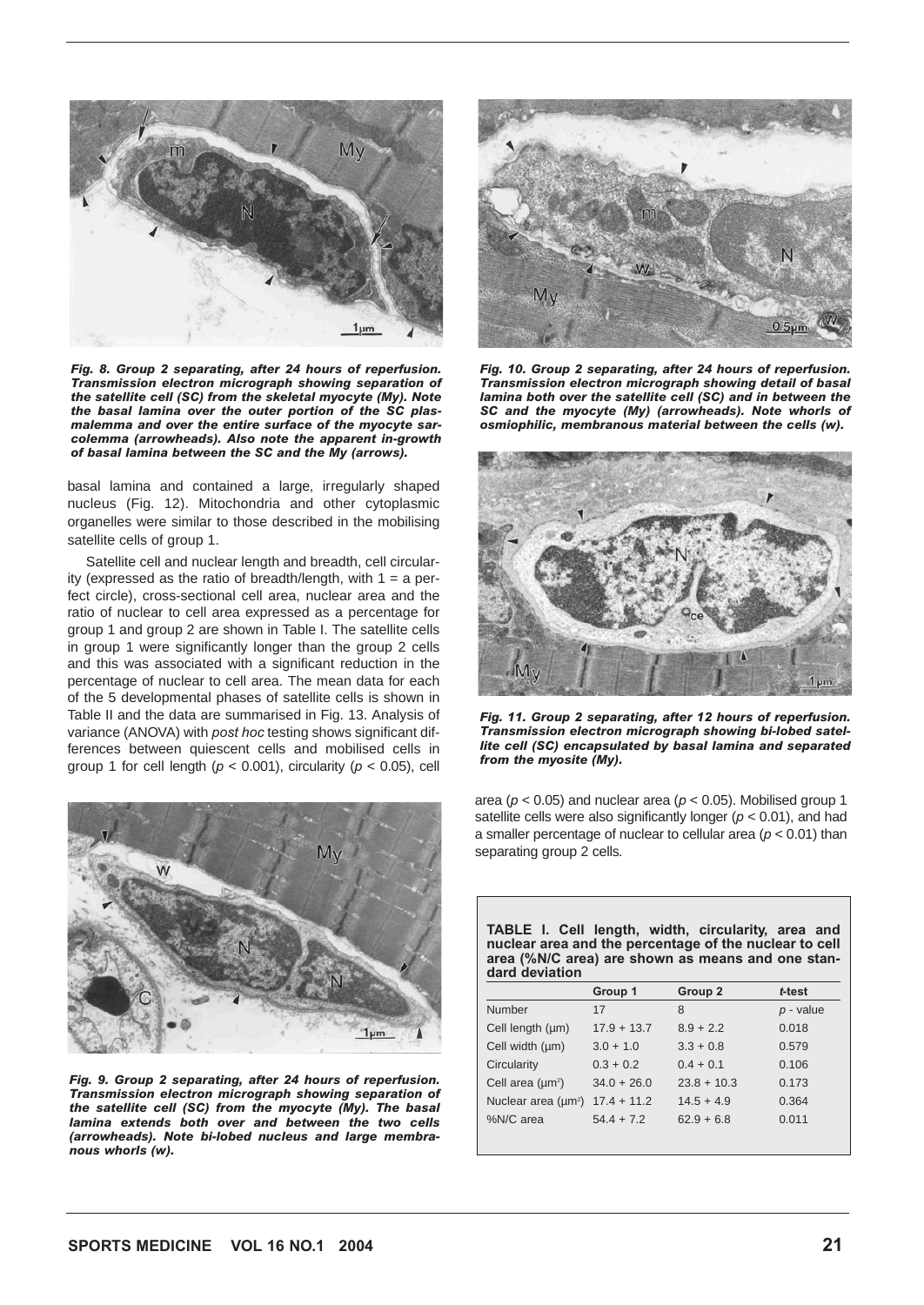

*Fig. 8. Group 2 separating, after 24 hours of reperfusion. Transmission electron micrograph showing separation of the satellite cell (SC) from the skeletal myocyte (My). Note the basal lamina over the outer portion of the SC plasmalemma and over the entire surface of the myocyte sarcolemma (arrowheads). Also note the apparent in-growth of basal lamina between the SC and the My (arrows).*

basal lamina and contained a large, irregularly shaped nucleus (Fig. 12). Mitochondria and other cytoplasmic organelles were similar to those described in the mobilising satellite cells of group 1.

Satellite cell and nuclear length and breadth, cell circularity (expressed as the ratio of breadth/length, with  $1 = a$  perfect circle), cross-sectional cell area, nuclear area and the ratio of nuclear to cell area expressed as a percentage for group 1 and group 2 are shown in Table I. The satellite cells in group 1 were significantly longer than the group 2 cells and this was associated with a significant reduction in the percentage of nuclear to cell area. The mean data for each of the 5 developmental phases of satellite cells is shown in Table II and the data are summarised in Fig. 13. Analysis of variance (ANOVA) with *post hoc* testing shows significant differences between quiescent cells and mobilised cells in group 1 for cell length  $(p < 0.001)$ , circularity  $(p < 0.05)$ , cell



*Fig. 9. Group 2 separating, after 24 hours of reperfusion. Transmission electron micrograph showing separation of the satellite cell (SC) from the myocyte (My). The basal lamina extends both over and between the two cells (arrowheads). Note bi-lobed nucleus and large membranous whorls (w).*



*Fig. 10. Group 2 separating, after 24 hours of reperfusion. Transmission electron micrograph showing detail of basal lamina both over the satellite cell (SC) and in between the SC and the myocyte (My) (arrowheads). Note whorls of osmiophilic, membranous material between the cells (w).*



*Fig. 11. Group 2 separating, after 12 hours of reperfusion. Transmission electron micrograph showing bi-lobed satellite cell (SC) encapsulated by basal lamina and separated from the myosite (My).*

area (*p* < 0.05) and nuclear area (*p* < 0.05). Mobilised group 1 satellite cells were also significantly longer (*p* < 0.01), and had a smaller percentage of nuclear to cellular area (*p* < 0.01) than separating group 2 cells.

| TABLE I. Cell length, width, circularity, area and<br>nuclear area and the percentage of the nuclear to cell<br>area (%N/C area) are shown as means and one stan-<br>dard deviation |               |               |             |  |  |  |  |  |  |
|-------------------------------------------------------------------------------------------------------------------------------------------------------------------------------------|---------------|---------------|-------------|--|--|--|--|--|--|
|                                                                                                                                                                                     | Group 1       | Group 2       | t-test      |  |  |  |  |  |  |
| Number                                                                                                                                                                              | 17            | 8             | $p$ - value |  |  |  |  |  |  |
| Cell length (µm)                                                                                                                                                                    | $17.9 + 13.7$ | $8.9 + 2.2$   | 0.018       |  |  |  |  |  |  |
| Cell width (um)                                                                                                                                                                     | $3.0 + 1.0$   | $3.3 + 0.8$   | 0.579       |  |  |  |  |  |  |
| Circularity                                                                                                                                                                         | $0.3 + 0.2$   | $0.4 + 0.1$   | 0.106       |  |  |  |  |  |  |
| Cell area $(\mu m^2)$                                                                                                                                                               | $34.0 + 26.0$ | $23.8 + 10.3$ | 0.173       |  |  |  |  |  |  |

Nuclear area (µm2 ) 17.4 + 11.2 14.5 + 4.9 0.364 %N/C area  $54.4 + 7.2$   $62.9 + 6.8$  0.011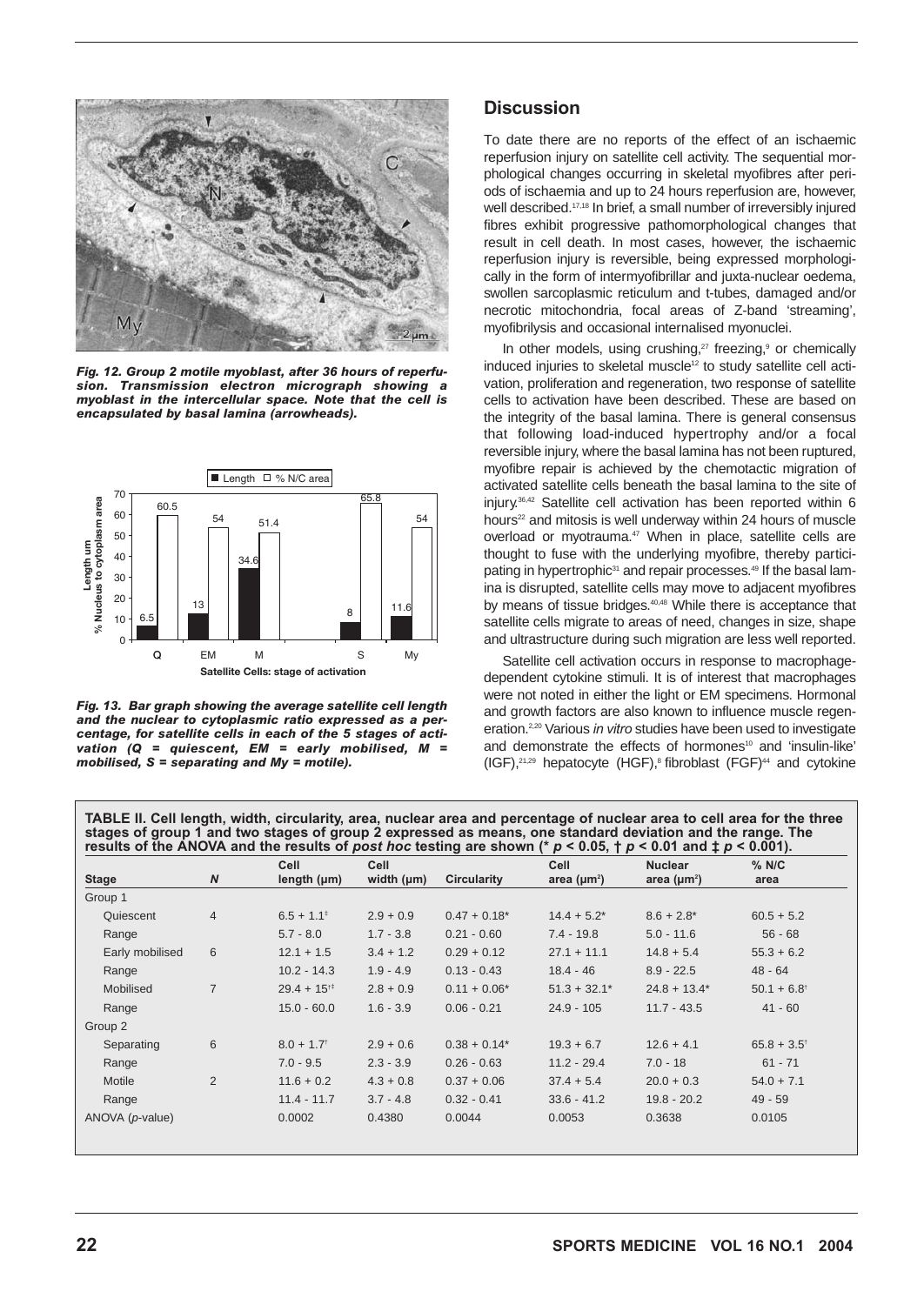

*Fig. 12. Group 2 motile myoblast, after 36 hours of reperfusion. Transmission electron micrograph showing a myoblast in the intercellular space. Note that the cell is encapsulated by basal lamina (arrowheads).* 



*Fig. 13. Bar graph showing the average satellite cell length and the nuclear to cytoplasmic ratio expressed as a percentage, for satellite cells in each of the 5 stages of activation (Q = quiescent, EM = early mobilised, M = mobilised, S = separating and My = motile).*

#### **Discussion**

To date there are no reports of the effect of an ischaemic reperfusion injury on satellite cell activity. The sequential morphological changes occurring in skeletal myofibres after periods of ischaemia and up to 24 hours reperfusion are, however, well described.17,18 In brief, a small number of irreversibly injured fibres exhibit progressive pathomorphological changes that result in cell death. In most cases, however, the ischaemic reperfusion injury is reversible, being expressed morphologically in the form of intermyofibrillar and juxta-nuclear oedema, swollen sarcoplasmic reticulum and t-tubes, damaged and/or necrotic mitochondria, focal areas of Z-band 'streaming', myofibrilysis and occasional internalised myonuclei.

In other models, using crushing,<sup>27</sup> freezing,<sup>9</sup> or chemically induced injuries to skeletal muscle<sup>12</sup> to study satellite cell activation, proliferation and regeneration, two response of satellite cells to activation have been described. These are based on the integrity of the basal lamina. There is general consensus that following load-induced hypertrophy and/or a focal reversible injury, where the basal lamina has not been ruptured, myofibre repair is achieved by the chemotactic migration of activated satellite cells beneath the basal lamina to the site of injury.36,42 Satellite cell activation has been reported within 6 hours<sup>22</sup> and mitosis is well underway within 24 hours of muscle overload or myotrauma.<sup>47</sup> When in place, satellite cells are thought to fuse with the underlying myofibre, thereby participating in hypertrophic<sup>31</sup> and repair processes.<sup>49</sup> If the basal lamina is disrupted, satellite cells may move to adjacent myofibres by means of tissue bridges.<sup>40,48</sup> While there is acceptance that satellite cells migrate to areas of need, changes in size, shape and ultrastructure during such migration are less well reported.

Satellite cell activation occurs in response to macrophagedependent cytokine stimuli. It is of interest that macrophages were not noted in either the light or EM specimens. Hormonal and growth factors are also known to influence muscle regeneration.2,20 Various *in vitro* studies have been used to investigate and demonstrate the effects of hormones<sup>10</sup> and 'insulin-like'  $(IGF),<sup>21,29</sup>$  hepatocyte  $(HGF),<sup>8</sup>$  fibroblast  $(FGF)<sup>44</sup>$  and cytokine

**TABLE II. Cell length, width, circularity, area, nuclear area and percentage of nuclear area to cell area for the three stages of group 1 and two stages of group 2 expressed as means, one standard deviation and the range. The results of the ANOVA and the results of** *post hoc* **testing are shown (\*** *p* **< 0.05, †** *p* **< 0.01 and ‡** *p* **< 0.001).**

| <b>Stage</b>             | N              | Cell<br>length $(\mu m)$ | Cell<br>width $(\mu m)$ | Circularity    | Cell<br>area ( $\mu$ m <sup>2</sup> ) | <b>Nuclear</b><br>area ( $\mu$ m <sup>2</sup> ) | $%$ N/C<br>area           |
|--------------------------|----------------|--------------------------|-------------------------|----------------|---------------------------------------|-------------------------------------------------|---------------------------|
| Group 1                  |                |                          |                         |                |                                       |                                                 |                           |
|                          |                |                          |                         |                |                                       |                                                 |                           |
| Quiescent                | $\overline{4}$ | $6.5 + 1.1^{\ddagger}$   | $2.9 + 0.9$             | $0.47 + 0.18*$ | $14.4 + 5.2^*$                        | $8.6 + 2.8*$                                    | $60.5 + 5.2$              |
| Range                    |                | $5.7 - 8.0$              | $1.7 - 3.8$             | $0.21 - 0.60$  | $7.4 - 19.8$                          | $5.0 - 11.6$                                    | $56 - 68$                 |
| Early mobilised          | 6              | $12.1 + 1.5$             | $3.4 + 1.2$             | $0.29 + 0.12$  | $27.1 + 11.1$                         | $14.8 + 5.4$                                    | $55.3 + 6.2$              |
| Range                    |                | $10.2 - 14.3$            | $1.9 - 4.9$             | $0.13 - 0.43$  | $18.4 - 46$                           | $8.9 - 22.5$                                    | $48 - 64$                 |
| Mobilised                | $\overline{7}$ | $29.4 + 15^{11}$         | $2.8 + 0.9$             | $0.11 + 0.06*$ | $51.3 + 32.1*$                        | $24.8 + 13.4*$                                  | $50.1 + 6.8$ <sup>†</sup> |
| Range                    |                | $15.0 - 60.0$            | $1.6 - 3.9$             | $0.06 - 0.21$  | $24.9 - 105$                          | $11.7 - 43.5$                                   | $41 - 60$                 |
| Group 2                  |                |                          |                         |                |                                       |                                                 |                           |
| Separating               | 6              | $8.0 + 1.7$ <sup>†</sup> | $2.9 + 0.6$             | $0.38 + 0.14*$ | $19.3 + 6.7$                          | $12.6 + 4.1$                                    | $65.8 + 3.5$ <sup>†</sup> |
| Range                    |                | $7.0 - 9.5$              | $2.3 - 3.9$             | $0.26 - 0.63$  | $11.2 - 29.4$                         | $7.0 - 18$                                      | $61 - 71$                 |
| Motile                   | 2              | $11.6 + 0.2$             | $4.3 + 0.8$             | $0.37 + 0.06$  | $37.4 + 5.4$                          | $20.0 + 0.3$                                    | $54.0 + 7.1$              |
| Range                    |                | $11.4 - 11.7$            | $3.7 - 4.8$             | $0.32 - 0.41$  | $33.6 - 41.2$                         | $19.8 - 20.2$                                   | $49 - 59$                 |
| ANOVA ( <i>p</i> -value) |                | 0.0002                   | 0.4380                  | 0.0044         | 0.0053                                | 0.3638                                          | 0.0105                    |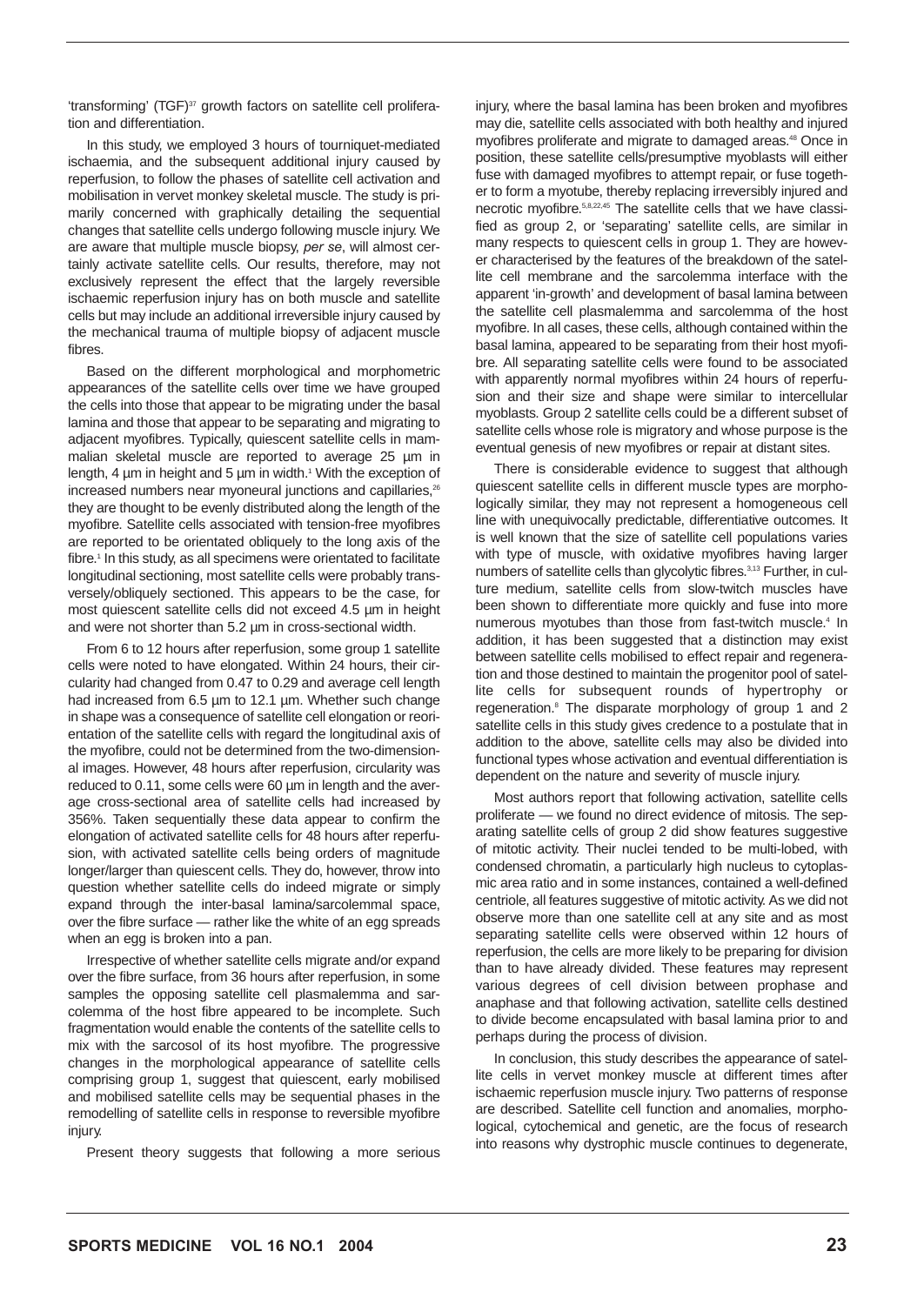'transforming' (TGF)<sup>37</sup> growth factors on satellite cell proliferation and differentiation.

In this study, we employed 3 hours of tourniquet-mediated ischaemia, and the subsequent additional injury caused by reperfusion, to follow the phases of satellite cell activation and mobilisation in vervet monkey skeletal muscle. The study is primarily concerned with graphically detailing the sequential changes that satellite cells undergo following muscle injury. We are aware that multiple muscle biopsy, *per se*, will almost certainly activate satellite cells. Our results, therefore, may not exclusively represent the effect that the largely reversible ischaemic reperfusion injury has on both muscle and satellite cells but may include an additional irreversible injury caused by the mechanical trauma of multiple biopsy of adjacent muscle fibres.

Based on the different morphological and morphometric appearances of the satellite cells over time we have grouped the cells into those that appear to be migrating under the basal lamina and those that appear to be separating and migrating to adjacent myofibres. Typically, quiescent satellite cells in mammalian skeletal muscle are reported to average 25 µm in length, 4 µm in height and 5 µm in width.<sup>1</sup> With the exception of increased numbers near myoneural junctions and capillaries,<sup>26</sup> they are thought to be evenly distributed along the length of the myofibre. Satellite cells associated with tension-free myofibres are reported to be orientated obliquely to the long axis of the fibre.<sup>1</sup> In this study, as all specimens were orientated to facilitate longitudinal sectioning, most satellite cells were probably transversely/obliquely sectioned. This appears to be the case, for most quiescent satellite cells did not exceed 4.5 µm in height and were not shorter than 5.2 µm in cross-sectional width.

From 6 to 12 hours after reperfusion, some group 1 satellite cells were noted to have elongated. Within 24 hours, their circularity had changed from 0.47 to 0.29 and average cell length had increased from 6.5 µm to 12.1 µm. Whether such change in shape was a consequence of satellite cell elongation or reorientation of the satellite cells with regard the longitudinal axis of the myofibre, could not be determined from the two-dimensional images. However, 48 hours after reperfusion, circularity was reduced to 0.11, some cells were 60 µm in length and the average cross-sectional area of satellite cells had increased by 356%. Taken sequentially these data appear to confirm the elongation of activated satellite cells for 48 hours after reperfusion, with activated satellite cells being orders of magnitude longer/larger than quiescent cells. They do, however, throw into question whether satellite cells do indeed migrate or simply expand through the inter-basal lamina/sarcolemmal space, over the fibre surface — rather like the white of an egg spreads when an egg is broken into a pan.

Irrespective of whether satellite cells migrate and/or expand over the fibre surface, from 36 hours after reperfusion, in some samples the opposing satellite cell plasmalemma and sarcolemma of the host fibre appeared to be incomplete. Such fragmentation would enable the contents of the satellite cells to mix with the sarcosol of its host myofibre. The progressive changes in the morphological appearance of satellite cells comprising group 1, suggest that quiescent, early mobilised and mobilised satellite cells may be sequential phases in the remodelling of satellite cells in response to reversible myofibre injury.

Present theory suggests that following a more serious

injury, where the basal lamina has been broken and myofibres may die, satellite cells associated with both healthy and injured myofibres proliferate and migrate to damaged areas.<sup>48</sup> Once in position, these satellite cells/presumptive myoblasts will either fuse with damaged myofibres to attempt repair, or fuse together to form a myotube, thereby replacing irreversibly injured and necrotic myofibre.5,8,22,45 The satellite cells that we have classified as group 2, or 'separating' satellite cells, are similar in many respects to quiescent cells in group 1. They are however characterised by the features of the breakdown of the satellite cell membrane and the sarcolemma interface with the apparent 'in-growth' and development of basal lamina between the satellite cell plasmalemma and sarcolemma of the host myofibre. In all cases, these cells, although contained within the basal lamina, appeared to be separating from their host myofibre. All separating satellite cells were found to be associated with apparently normal myofibres within 24 hours of reperfusion and their size and shape were similar to intercellular myoblasts. Group 2 satellite cells could be a different subset of satellite cells whose role is migratory and whose purpose is the eventual genesis of new myofibres or repair at distant sites.

There is considerable evidence to suggest that although quiescent satellite cells in different muscle types are morphologically similar, they may not represent a homogeneous cell line with unequivocally predictable, differentiative outcomes. It is well known that the size of satellite cell populations varies with type of muscle, with oxidative myofibres having larger numbers of satellite cells than glycolytic fibres.3,13 Further, in culture medium, satellite cells from slow-twitch muscles have been shown to differentiate more quickly and fuse into more numerous myotubes than those from fast-twitch muscle.<sup>4</sup> In addition, it has been suggested that a distinction may exist between satellite cells mobilised to effect repair and regeneration and those destined to maintain the progenitor pool of satellite cells for subsequent rounds of hypertrophy or regeneration.8 The disparate morphology of group 1 and 2 satellite cells in this study gives credence to a postulate that in addition to the above, satellite cells may also be divided into functional types whose activation and eventual differentiation is dependent on the nature and severity of muscle injury.

Most authors report that following activation, satellite cells proliferate — we found no direct evidence of mitosis. The separating satellite cells of group 2 did show features suggestive of mitotic activity. Their nuclei tended to be multi-lobed, with condensed chromatin, a particularly high nucleus to cytoplasmic area ratio and in some instances, contained a well-defined centriole, all features suggestive of mitotic activity. As we did not observe more than one satellite cell at any site and as most separating satellite cells were observed within 12 hours of reperfusion, the cells are more likely to be preparing for division than to have already divided. These features may represent various degrees of cell division between prophase and anaphase and that following activation, satellite cells destined to divide become encapsulated with basal lamina prior to and perhaps during the process of division.

In conclusion, this study describes the appearance of satellite cells in vervet monkey muscle at different times after ischaemic reperfusion muscle injury. Two patterns of response are described. Satellite cell function and anomalies, morphological, cytochemical and genetic, are the focus of research into reasons why dystrophic muscle continues to degenerate,